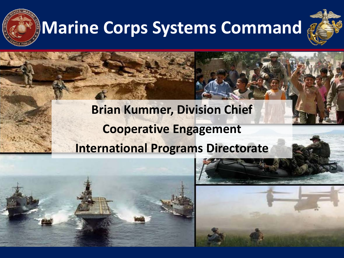

# **Marine Corps Systems Command**



#### **Brian Kummer, Division Chief Cooperative Engagement International Programs Directorate**



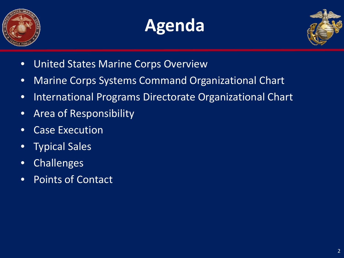





- United States Marine Corps Overview
- Marine Corps Systems Command Organizational Chart
- International Programs Directorate Organizational Chart
- Area of Responsibility
- Case Execution
- Typical Sales
- Challenges
- Points of Contact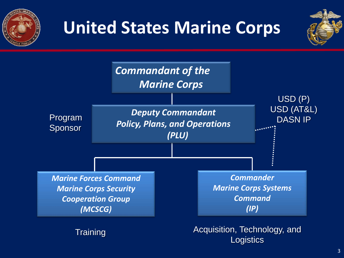

## **United States Marine Corps**



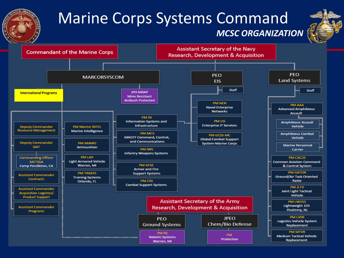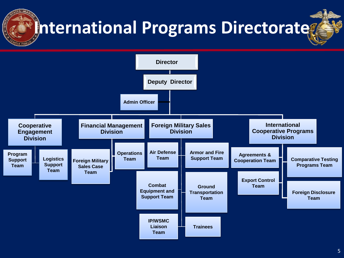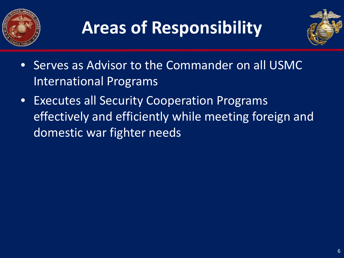



- Serves as Advisor to the Commander on all USMC International Programs
- Executes all Security Cooperation Programs effectively and efficiently while meeting foreign and domestic war fighter needs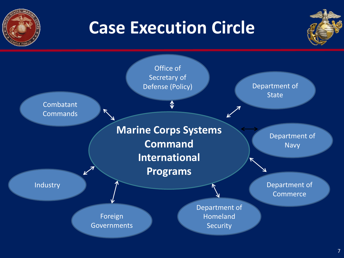

### **Case Execution Circle**



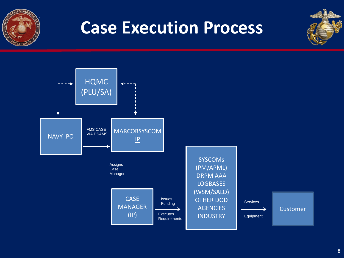

### **Case Execution Process**



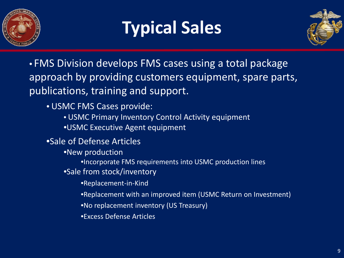

## **Typical Sales**



• FMS Division develops FMS cases using a total package approach by providing customers equipment, spare parts, publications, training and support.

- USMC FMS Cases provide:
	- USMC Primary Inventory Control Activity equipment
	- •USMC Executive Agent equipment
- •Sale of Defense Articles
	- •New production
		- •Incorporate FMS requirements into USMC production lines
	- •Sale from stock/inventory
		- •Replacement-in-Kind
		- •Replacement with an improved item (USMC Return on Investment)
		- •No replacement inventory (US Treasury)
		- •Excess Defense Articles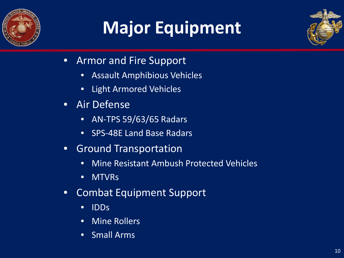

# **Major Equipment**



- Armor and Fire Support
	- Assault Amphibious Vehicles
	- Light Armored Vehicles
- Air Defense
	- AN-TPS 59/63/65 Radars
	- SPS-48E Land Base Radars
- Ground Transportation
	- Mine Resistant Ambush Protected Vehicles
	- MTVRs
- Combat Equipment Support
	- IDDs
	- Mine Rollers
	- Small Arms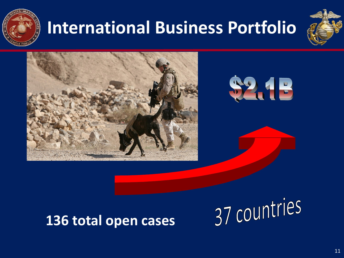

# **International Business Portfolio**







#### **136 total open cases**

37 countries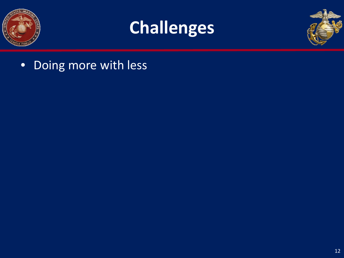





• Doing more with less